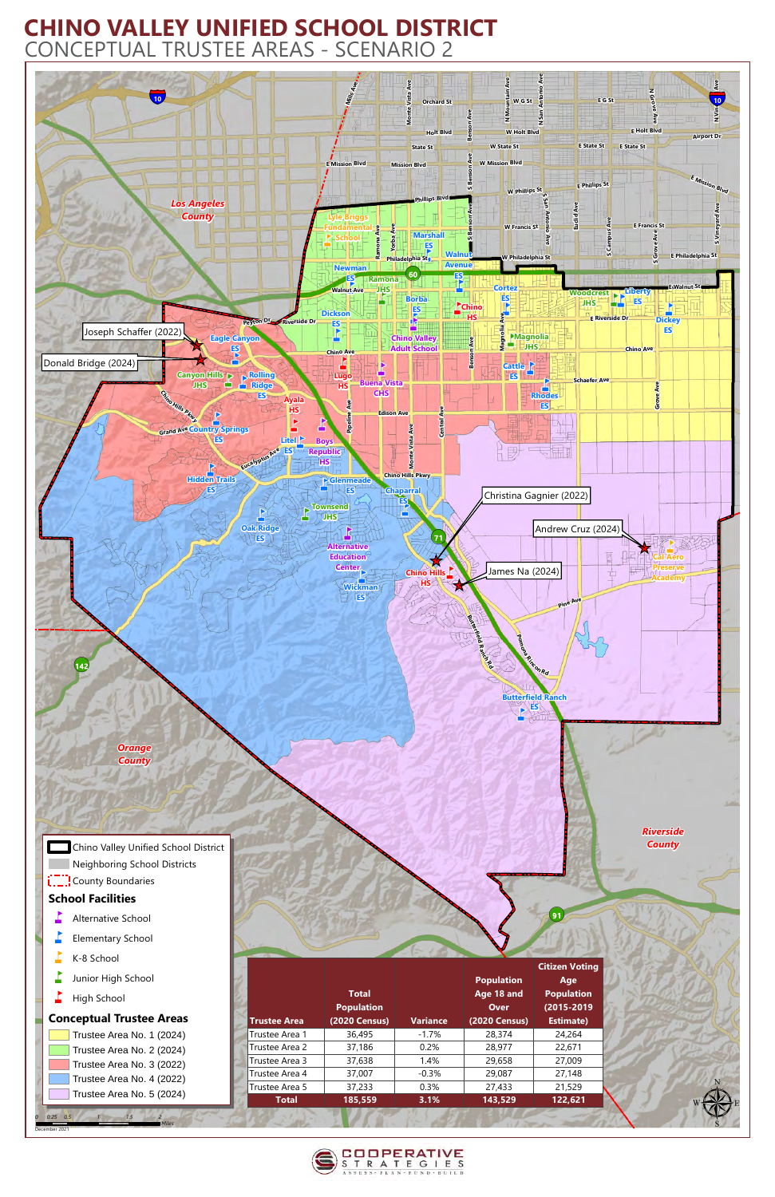

**L.\_.¦** County Boundaries **School Facilities**  $\blacksquare$  Alternative School  $\Gamma$  Elementary School  $K-8$  School

 $\blacksquare$  Junior High School

## **CHINO VALLEY UNIFIED SCHOOL DISTRICT** CONCEPTUAL TRUSTEE AREAS - SCENARIO 2

*0* December 2021

*0.25 0.5 1 1.5 2*

 $\overrightarrow{h}$  High School

## **Conceptual Trustee Areas**

Trustee Area No. 1 (2024) Trustee Area No. 2 (2024) Trustee Area No. 3 (2022) Trustee Area No. 4 (2022) Trustee Area No. 5 (2024)

|                     |                                   |                 |                                                | <b>Citizen Voting</b>                  |
|---------------------|-----------------------------------|-----------------|------------------------------------------------|----------------------------------------|
|                     | <b>Total</b><br><b>Population</b> |                 | <b>Population</b><br>Age 18 and<br><b>Over</b> | Age<br><b>Population</b><br>(2015-2019 |
| <b>Trustee Area</b> | <b>(2020 Census)</b>              | <b>Variance</b> | <b>(2020 Census)</b>                           | <b>Estimate)</b>                       |
| Trustee Area 1      | 36,495                            | $-1.7\%$        | 28,374                                         | 24,264                                 |
| Trustee Area 2      | 37,186                            | 0.2%            | 28,977                                         | 22,671                                 |
| Trustee Area 3      | 37,638                            | 1.4%            | 29,658                                         | 27,009                                 |
| Trustee Area 4      | 37,007                            | $-0.3%$         | 29,087                                         | 27,148                                 |
| Trustee Area 5      | 37,233                            | 0.3%            | 27,433                                         | 21,529                                 |
| <b>Total</b>        | 185,559                           | 3.1%            | 143,529                                        | 122,621                                |